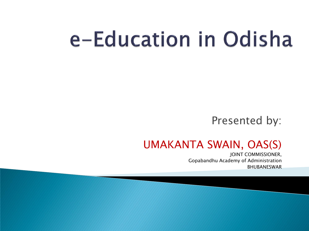# e-Education in Odisha

#### Presented by:

#### UMAKANTA SWAIN, OAS(S)

JOINT COMMISSIONER, Gopabandhu Academy of Administration BHUBANESWAR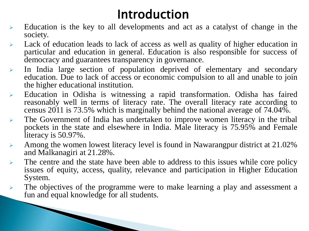#### Introduction

- Education is the key to all developments and act as a catalyst of change in the society.
- Lack of education leads to lack of access as well as quality of higher education in particular and education in general. Education is also responsible for success of democracy and guarantees transparency in governance.
- $\triangleright$  In India large section of population deprived of elementary and secondary education. Due to lack of access or economic compulsion to all and unable to join the higher educational institution.
- Education in Odisha is witnessing a rapid transformation. Odisha has faired reasonably well in terms of literacy rate. The overall literacy rate according to census 2011 is 73.5% which is marginally behind the national average of 74.04%.
- The Government of India has undertaken to improve women literacy in the tribal pockets in the state and elsewhere in India. Male literacy is 75.95% and Female literacy is 50.97%.
- Among the women lowest literacy level is found in Nawarangpur district at 21.02% and Malkanagiri at 21.28%.
- $\triangleright$  The centre and the state have been able to address to this issues while core policy issues of equity, access, quality, relevance and participation in Higher Education System.
- $\triangleright$  The objectives of the programme were to make learning a play and assessment a fun and equal knowledge for all students.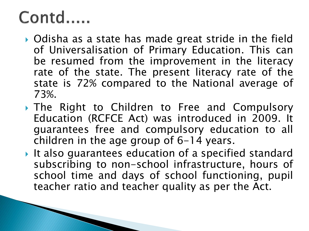#### Contd.....

- Odisha as a state has made great stride in the field of Universalisation of Primary Education. This can be resumed from the improvement in the literacy rate of the state. The present literacy rate of the state is 72% compared to the National average of 73%.
- The Right to Children to Free and Compulsory Education (RCFCE Act) was introduced in 2009. It guarantees free and compulsory education to all children in the age group of 6-14 years.
- It also guarantees education of a specified standard subscribing to non-school infrastructure, hours of school time and days of school functioning, pupil teacher ratio and teacher quality as per the Act.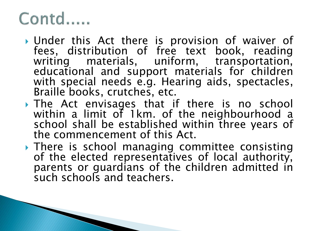#### Contd.....

- Under this Act there is provision of waiver of fees, distribution of free text book, reading writing materials, uniform, transportation, educational and support materials for children with special needs e.g. Hearing aids, spectacles, Braille books, crutches, etc.
- The Act envisages that if there is no school within a limit of 1km. of the neighbourhood a school shall be established within three years of the commencement of this Act.
- **There is school managing committee consisting** of the elected representatives of local authority, parents or guardians of the children admitted in such schools and teachers.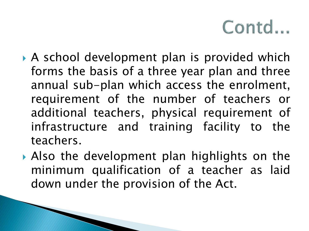- A school development plan is provided which forms the basis of a three year plan and three annual sub-plan which access the enrolment, requirement of the number of teachers or additional teachers, physical requirement of infrastructure and training facility to the teachers.
- Also the development plan highlights on the minimum qualification of a teacher as laid down under the provision of the Act.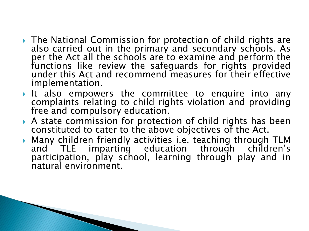- ▶ The National Commission for protection of child rights are also carried out in the primary and secondary schools. As per the Act all the schools are to examine and perform the functions like review the safeguards for rights provided under this Act and recommend measures for their effective implementation.
- It also empowers the committee to enquire into any complaints relating to child rights violation and providing free and compulsory education.
- A state commission for protection of child rights has been constituted to cater to the above objectives of the Act.
- Many children friendly activities i.e. teaching through TLM and TLE imparting education through children's participation, play school, learning through play and in natural environment.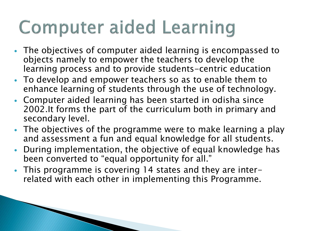# **Computer aided Learning**

- The objectives of computer aided learning is encompassed to objects namely to empower the teachers to develop the learning process and to provide students-centric education
- To develop and empower teachers so as to enable them to enhance learning of students through the use of technology.
- Computer aided learning has been started in odisha since 2002.It forms the part of the curriculum both in primary and secondary level.
- The objectives of the programme were to make learning a play and assessment a fun and equal knowledge for all students.
- During implementation, the objective of equal knowledge has been converted to "equal opportunity for all."
- This programme is covering 14 states and they are interrelated with each other in implementing this Programme.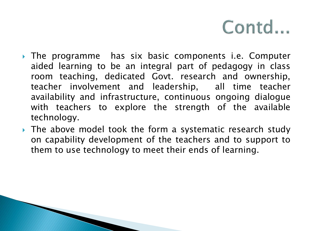- The programme has six basic components i.e. Computer aided learning to be an integral part of pedagogy in class room teaching, dedicated Govt. research and ownership, teacher involvement and leadership, all time teacher availability and infrastructure, continuous ongoing dialogue with teachers to explore the strength of the available technology.
- If The above model took the form a systematic research study on capability development of the teachers and to support to them to use technology to meet their ends of learning.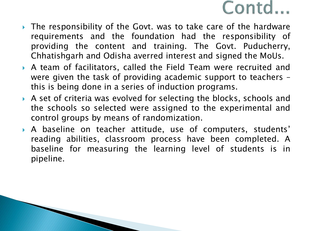- ▶ The responsibility of the Govt. was to take care of the hardware requirements and the foundation had the responsibility of providing the content and training. The Govt. Puducherry, Chhatishgarh and Odisha averred interest and signed the MoUs.
- A team of facilitators, called the Field Team were recruited and were given the task of providing academic support to teachers – this is being done in a series of induction programs.
- A set of criteria was evolved for selecting the blocks, schools and the schools so selected were assigned to the experimental and control groups by means of randomization.
- A baseline on teacher attitude, use of computers, students' reading abilities, classroom process have been completed. A baseline for measuring the learning level of students is in pipeline.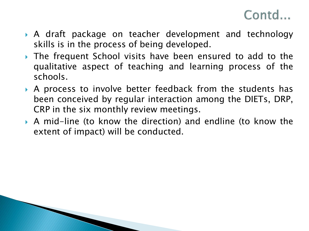

- A draft package on teacher development and technology skills is in the process of being developed.
- The frequent School visits have been ensured to add to the qualitative aspect of teaching and learning process of the schools.
- A process to involve better feedback from the students has been conceived by regular interaction among the DIETs, DRP, CRP in the six monthly review meetings.
- A mid-line (to know the direction) and endline (to know the extent of impact) will be conducted.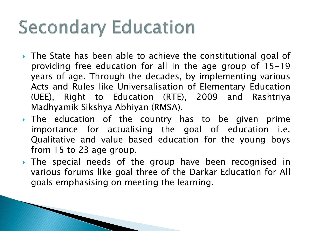# **Secondary Education**

- The State has been able to achieve the constitutional goal of providing free education for all in the age group of 15-19 years of age. Through the decades, by implementing various Acts and Rules like Universalisation of Elementary Education (UEE), Right to Education (RTE), 2009 and Rashtriya Madhyamik Sikshya Abhiyan (RMSA).
- The education of the country has to be given prime importance for actualising the goal of education i.e. Qualitative and value based education for the young boys from 15 to 23 age group.
- The special needs of the group have been recognised in various forums like goal three of the Darkar Education for All goals emphasising on meeting the learning.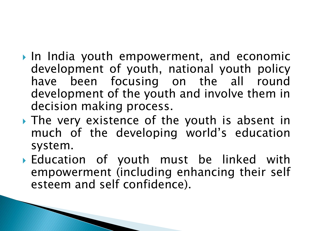- In India youth empowerment, and economic development of youth, national youth policy have been focusing on the all round development of the youth and involve them in decision making process.
- The very existence of the youth is absent in much of the developing world's education system.
- Education of youth must be linked with empowerment (including enhancing their self esteem and self confidence).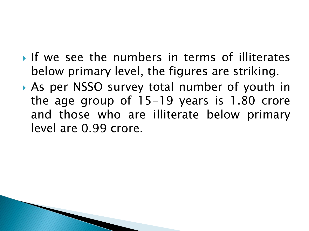- If we see the numbers in terms of illiterates below primary level, the figures are striking.
- As per NSSO survey total number of youth in the age group of 15-19 years is 1.80 crore and those who are illiterate below primary level are 0.99 crore.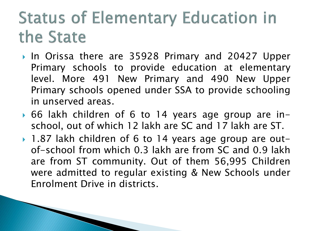#### **Status of Elementary Education in** the State

- In Orissa there are 35928 Primary and 20427 Upper Primary schools to provide education at elementary level. More 491 New Primary and 490 New Upper Primary schools opened under SSA to provide schooling in unserved areas.
- 66 lakh children of 6 to 14 years age group are inschool, out of which 12 lakh are SC and 17 lakh are ST.
- ▶ 1.87 lakh children of 6 to 14 years age group are outof-school from which 0.3 lakh are from SC and 0.9 lakh are from ST community. Out of them 56,995 Children were admitted to regular existing & New Schools under Enrolment Drive in districts.

**The Common Street, Inc., and Inc., the Common Street, Inc., and Inc., and Inc., and Inc., and Inc., and Inc.,**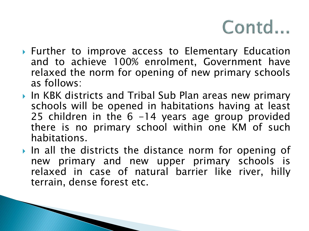- ▶ Further to improve access to Elementary Education and to achieve 100% enrolment, Government have relaxed the norm for opening of new primary schools as follows:
- ▶ In KBK districts and Tribal Sub Plan areas new primary schools will be opened in habitations having at least 25 children in the 6 -14 years age group provided there is no primary school within one KM of such habitations.
- In all the districts the distance norm for opening of new primary and new upper primary schools is relaxed in case of natural barrier like river, hilly terrain, dense forest etc.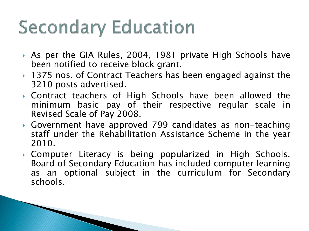# **Secondary Education**

- As per the GIA Rules, 2004, 1981 private High Schools have been notified to receive block grant.
- ▶ 1375 nos. of Contract Teachers has been engaged against the 3210 posts advertised.
- Contract teachers of High Schools have been allowed the minimum basic pay of their respective regular scale in Revised Scale of Pay 2008.
- Government have approved 799 candidates as non-teaching staff under the Rehabilitation Assistance Scheme in the year 2010.
- Computer Literacy is being popularized in High Schools. Board of Secondary Education has included computer learning as an optional subject in the curriculum for Secondary schools.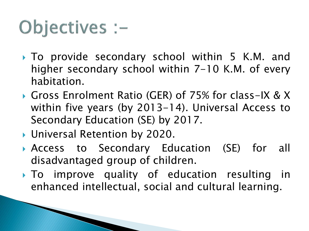# Objectives :-

- ▶ To provide secondary school within 5 K.M. and higher secondary school within 7-10 K.M. of every habitation.
- Gross Enrolment Ratio (GER) of 75% for class-IX & X within five years (by 2013-14). Universal Access to Secondary Education (SE) by 2017.
- ▶ Universal Retention by 2020.
- Access to Secondary Education (SE) for all disadvantaged group of children.
- To improve quality of education resulting in enhanced intellectual, social and cultural learning.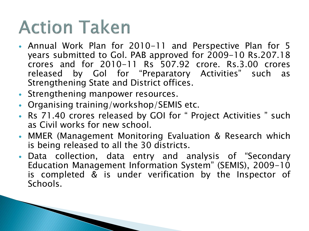### **Action Taken**

**The Communication of the Communication** 

- Annual Work Plan for 2010-11 and Perspective Plan for 5 years submitted to Gol. PAB approved for 2009-10 Rs.207.18 crores and for 2010-11 Rs 507.92 crore. Rs.3.00 crores released by Gol for "Preparatory Activities" such as Strengthening State and District offices.
- Strengthening manpower resources.
- Organising training/workshop/SEMIS etc.
- Rs 71.40 crores released by GOI for " Project Activities " such as Civil works for new school.
- MMER (Management Monitoring Evaluation & Research which is being released to all the 30 districts.
- Data collection, data entry and analysis of "Secondary Education Management Information System" (SEMIS), 2009-10 is completed & is under verification by the Inspector of Schools.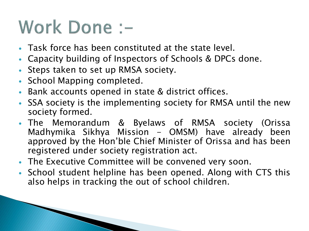### Work Done :-

- Task force has been constituted at the state level.
- Capacity building of Inspectors of Schools & DPCs done.
- Steps taken to set up RMSA society.
- School Mapping completed.
- Bank accounts opened in state & district offices.
- SSA society is the implementing society for RMSA until the new society formed.
- The Memorandum & Byelaws of RMSA society (Orissa Madhymika Sikhya Mission - OMSM) have already been approved by the Hon'ble Chief Minister of Orissa and has been registered under society registration act.
- The Executive Committee will be convened very soon.
- School student helpline has been opened. Along with CTS this also helps in tracking the out of school children.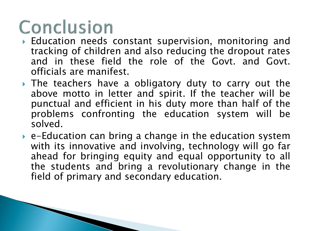# Conclusion

- Education needs constant supervision, monitoring and tracking of children and also reducing the dropout rates and in these field the role of the Govt. and Govt. officials are manifest.
- The teachers have a obligatory duty to carry out the above motto in letter and spirit. If the teacher will be punctual and efficient in his duty more than half of the problems confronting the education system will be solved.
- e-Education can bring a change in the education system with its innovative and involving, technology will go far ahead for bringing equity and equal opportunity to all the students and bring a revolutionary change in the field of primary and secondary education.